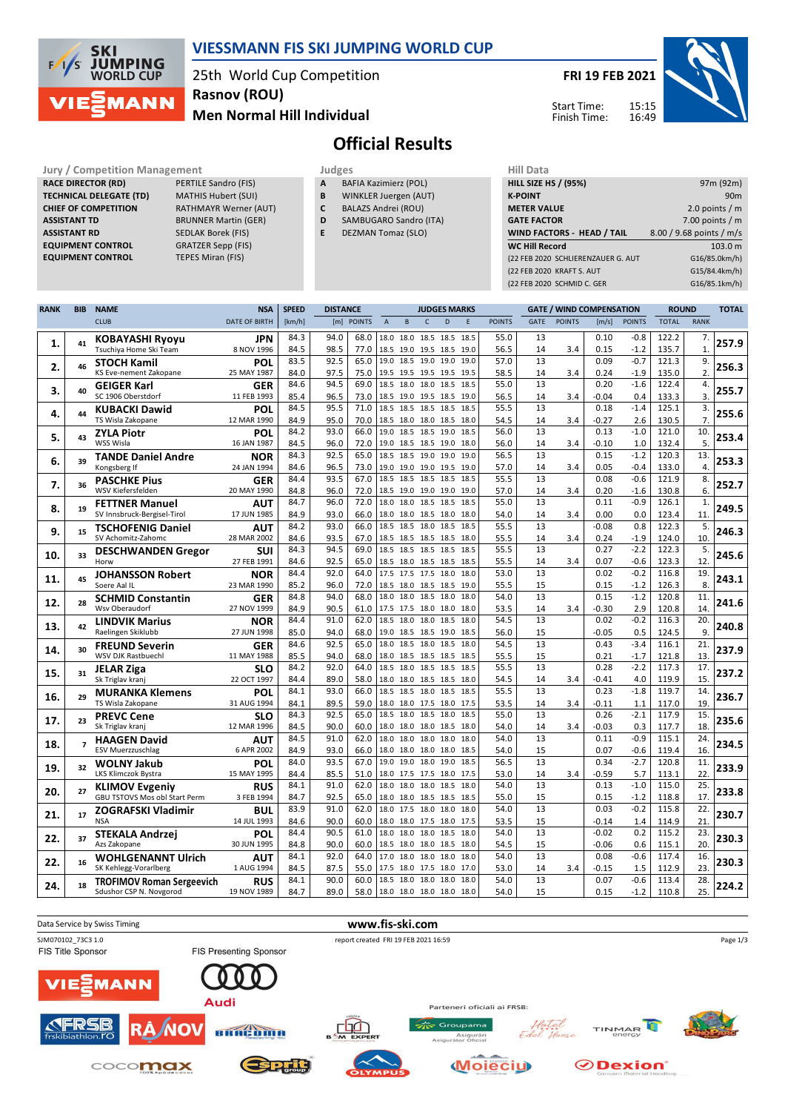

## **VIESSMANN FIS SKI JUMPING WORLD CUP**

25th World Cup Competition **Men Normal Hill Individual Rasnov (ROU)**

**FRI 19 FEB 2021**

Start Time: Finish Time:



# **Official Results**

**Jury / Competition Management Judges Judges Hill Data**<br> **RACE DIRECTOR (RD)** PERTILE Sandro (FIS) **A** BAFIA Kazimierz (POL) **HILL SIZE F RACE DIRECTOR (RD) TECHNICAL DELEGATE (TD)** MATHIS Hubert (SUI) **CHIEF OF COMPETITION** RATHMAYR Werner (AUT) **ASSISTANT TD** BRUNNER Martin (GER) **ASSISTANT RD** SEDLAK Borek (FIS)<br>**EQUIPMENT CONTROL** GRATZER Sepp (FIS) **EQUIPMENT CONTROL 6RATZER Sepp (FISTER SEPP) EQUIPMENT CONTROL EQUIPMENT CONTROL** 

- **A** BAFIA Kazimierz (POL)
- **B** WINKLER Juergen (AUT)
- **C** BALAZS Andrei (ROU)
- **D** SAMBUGARO Sandro (ITA)
- **E** DEZMAN Tomaz (SLO)

| Hill Data                          |                          |
|------------------------------------|--------------------------|
| <b>HILL SIZE HS / (95%)</b>        | 97m (92m)                |
| <b>K-POINT</b>                     | 90 <sub>m</sub>          |
| <b>METER VALUE</b>                 | 2.0 points $/m$          |
| <b>GATE FACTOR</b>                 | 7.00 points $/m$         |
| WIND FACTORS - HEAD / TAIL         | 8.00 / 9.68 points / m/s |
| <b>WC Hill Record</b>              | 103.0 m                  |
| (22 FEB 2020 SCHLIERENZAUER G. AUT | G16/85.0km/h)            |
| (22 FEB 2020 KRAFT S. AUT          | G15/84.4km/h)            |
| (22 FEB 2020 SCHMID C. GER         | G16/85.1km/h)            |
|                                    |                          |

| <b>RANK</b> | <b>BIB</b>     | <b>NAME</b>                                            | <b>NSA</b>           | <b>SPEED</b> | <b>DISTANCE</b> |               |                |          | <b>JUDGES MARKS</b>                        |              |               |             | <b>GATE / WIND COMPENSATION</b> |                 |                  |                | <b>ROUND</b> | <b>TOTAL</b> |
|-------------|----------------|--------------------------------------------------------|----------------------|--------------|-----------------|---------------|----------------|----------|--------------------------------------------|--------------|---------------|-------------|---------------------------------|-----------------|------------------|----------------|--------------|--------------|
|             |                | <b>CLUB</b>                                            | <b>DATE OF BIRTH</b> | [km/h]       | [m]             | <b>POINTS</b> | $\overline{A}$ | $\sf{B}$ | $\mathsf{C}$<br>$\mathsf{D}$               | E            | <b>POINTS</b> | <b>GATE</b> | <b>POINTS</b>                   | [m/s]           | <b>POINTS</b>    | <b>TOTAL</b>   | <b>RANK</b>  |              |
|             |                | <b>KOBAYASHI Ryoyu</b>                                 | JPN                  | 84.3         | 94.0            | 68.0          |                |          | 18.0 18.0 18.5 18.5                        | 18.5         | 55.0          | 13          |                                 | 0.10            | $-0.8$           | 122.2          | 7.           |              |
| 1.          | 41             | Tsuchiya Home Ski Team                                 | 8 NOV 1996           | 84.5         | 98.5            | 77.0          |                |          | 18.5 19.0 19.5 18.5                        | 19.0         | 56.5          | 14          | 3.4                             | 0.15            | $-1.2$           | 135.7          | $\mathbf{1}$ | 257.9        |
| 2.          | 46             | <b>STOCH Kamil</b>                                     | POL                  | 83.5         | 92.5            | 65.0          | 19.0 18.5 19.0 |          | 19.0                                       | 19.0         | 57.0          | 13          |                                 | 0.09            | $-0.7$           | 121.3          | 9.           | 256.3        |
|             |                | KS Eve-nement Zakopane                                 | 25 MAY 1987          | 84.0         | 97.5            | 75.0          |                |          | 19.5 19.5 19.5 19.5                        | 19.5         | 58.5          | 14          | 3.4                             | 0.24            | $-1.9$           | 135.0          | 2.           |              |
| 3.          | 40             | <b>GEIGER Karl</b>                                     | <b>GER</b>           | 84.6         | 94.5            | 69.0          |                |          | 18.5 18.0 18.0 18.5                        | 18.5         | 55.0          | 13          |                                 | 0.20            | $-1.6$           | 122.4          | 4.           | 255.7        |
|             |                | SC 1906 Oberstdorf                                     | 11 FEB 1993          | 85.4<br>84.5 | 96.5<br>95.5    | 73.0<br>71.0  |                |          | 18.5 19.0 19.5 18.5<br>18.5 18.5 18.5 18.5 | 19.0<br>18.5 | 56.5<br>55.5  | 14<br>13    | 3.4                             | $-0.04$<br>0.18 | 0.4<br>$-1.4$    | 133.3          | 3.           |              |
| 4.          | 44             | <b>KUBACKI Dawid</b><br>TS Wisla Zakopane              | POL<br>12 MAR 1990   | 84.9         | 95.0            | 70.0          |                |          | 18.5 18.0 18.0 18.5                        | 18.0         | 54.5          | 14          | 3.4                             | $-0.27$         | 2.6              | 125.1<br>130.5 | 3.<br>7.     | 255.6        |
|             |                | <b>ZYLA Piotr</b>                                      | POL                  | 84.2         | 93.0            | 66.0          |                |          | 19.0 18.5 18.5 19.0                        | 18.5         | 56.0          | 13          |                                 | 0.13            | $-1.0$           | 121.0          | 10.          |              |
| 5.          | 43             | WSS Wisla                                              | 16 JAN 1987          | 84.5         | 96.0            | 72.0          |                |          | 19.0 18.5 18.5 19.0                        | 18.0         | 56.0          | 14          | 3.4                             | $-0.10$         | 1.0              | 132.4          | 5.           | 253.4        |
|             |                | <b>TANDE Daniel Andre</b>                              | NOR                  | 84.3         | 92.5            | 65.0          |                |          | 18.5 18.5 19.0 19.0                        | 19.0         | 56.5          | 13          |                                 | 0.15            | $-1.2$           | 120.3          | 13.          |              |
| 6.          | 39             | Kongsberg If                                           | 24 JAN 1994          | 84.6         | 96.5            | 73.0          |                |          | 19.0 19.0 19.0 19.5                        | 19.0         | 57.0          | 14          | 3.4                             | 0.05            | $-0.4$           | 133.0          | 4.           | 253.3        |
| 7.          | 36             | <b>PASCHKE Pius</b>                                    | GER                  | 84.4         | 93.5            | 67.0          |                |          | 18.5 18.5 18.5 18.5                        | 18.5         | 55.5          | 13          |                                 | 0.08            | $-0.6$           | 121.9          | 8.           | 252.7        |
|             |                | WSV Kiefersfelden                                      | 20 MAY 1990          | 84.8         | 96.0            | 72.0          |                |          | 18.5 19.0 19.0 19.0                        | 19.0         | 57.0          | 14          | 3.4                             | 0.20            | $-1.6$           | 130.8          | 6.           |              |
| 8.          | 19             | <b>FETTNER Manuel</b>                                  | AUT                  | 84.7         | 96.0            | 72.0          |                |          | 18.0 18.0 18.5 18.5                        | 18.5         | 55.0          | 13          |                                 | 0.11            | $-0.9$           | 126.1          | 1.           | 249.5        |
|             |                | SV Innsbruck-Bergisel-Tirol                            | 17 JUN 1985          | 84.9<br>84.2 | 93.0<br>93.0    | 66.0<br>66.0  | 18.5 18.5 18.0 |          | 18.0 18.0 18.5 18.0<br>18.5                | 18.0<br>18.5 | 54.0<br>55.5  | 14<br>13    | 3.4                             | 0.00<br>$-0.08$ | 0.0<br>0.8       | 123.4<br>122.3 | 11.<br>5.    |              |
| 9.          | 15             | <b>TSCHOFENIG Daniel</b><br>SV Achomitz-Zahomc         | AUT<br>28 MAR 2002   | 84.6         | 93.5            | 67.0          |                |          | 18.5 18.5 18.5 18.5                        | 18.0         | 55.5          | 14          | 3.4                             | 0.24            | $-1.9$           | 124.0          | 10.          | 246.3        |
|             |                |                                                        | <b>SUI</b>           | 84.3         | 94.5            | 69.0          |                |          | 18.5 18.5 18.5 18.5                        | 18.5         | 55.5          | 13          |                                 | 0.27            | $-2.2$           | 122.3          | 5.           |              |
| 10.         | 33             | <b>DESCHWANDEN Gregor</b><br>Horw                      | 27 FEB 1991          | 84.6         | 92.5            | 65.0          |                |          | 18.5 18.0 18.5 18.5                        | 18.5         | 55.5          | 14          | 3.4                             | 0.07            | $-0.6$           | 123.3          | 12           | 245.6        |
|             |                | <b>JOHANSSON Robert</b>                                | <b>NOR</b>           | 84.4         | 92.0            | 64.0          |                |          | 17.5 17.5 17.5 18.0                        | 18.0         | 53.0          | 13          |                                 | 0.02            | $-0.2$           | 116.8          | 19.          |              |
| 11.         | 45             | Soere Aal IL                                           | 23 MAR 1990          | 85.2         | 96.0            | 72.0          |                |          | 18.5 18.0 18.5 18.5                        | 19.0         | 55.5          | 15          |                                 | 0.15            | $-1.2$           | 126.3          | 8.           | 243.1        |
| 12.         | 28             | <b>SCHMID Constantin</b>                               | <b>GER</b>           | 84.8         | 94.0            | 68.0          |                |          | 18.0 18.0 18.5 18.0                        | 18.0         | 54.0          | 13          |                                 | 0.15            | $-1.2$           | 120.8          | 11           | 241.6        |
|             |                | Wsv Oberaudorf                                         | 27 NOV 1999          | 84.9         | 90.5            | 61.0          |                |          | 17.5 17.5 18.0 18.0                        | 18.0         | 53.5          | 14          | 3.4                             | $-0.30$         | 2.9              | 120.8          | 14.          |              |
| 13.         | 42             | <b>LINDVIK Marius</b>                                  | <b>NOR</b>           | 84.4         | 91.0            | 62.0          |                |          | 18.5 18.0 18.0 18.5                        | 18.0         | 54.5          | 13          |                                 | 0.02            | $-0.2$           | 116.3          | 20.          | 240.8        |
|             |                | Raelingen Skiklubb                                     | 27 JUN 1998          | 85.0         | 94.0            | 68.0          |                |          | 19.0 18.5 18.5 19.0                        | 18.5         | 56.0          | 15          |                                 | $-0.05$         | 0.5              | 124.5          | 9.           |              |
| 14.         | 30             | <b>FREUND Severin</b><br><b>WSV DJK Rastbuechl</b>     | GER<br>11 MAY 1988   | 84.6         | 92.5            | 65.0          |                |          | 18.0 18.5 18.0 18.5<br>18.0 18.5 18.5 18.5 | 18.0<br>18.5 | 54.5          | 13          |                                 | 0.43            | $-3.4$           | 116.1          | 21.          | 237.9        |
|             |                |                                                        | <b>SLO</b>           | 85.5<br>84.2 | 94.0<br>92.0    | 68.0<br>64.0  |                |          | 18.5 18.0 18.5 18.5                        | 18.5         | 55.5<br>55.5  | 15<br>13    |                                 | 0.21<br>0.28    | $-1.7$<br>$-2.2$ | 121.8<br>117.3 | 13.<br>17.   |              |
| 15.         | 31             | <b>JELAR Ziga</b><br>Sk Triglav kranj                  | 22 OCT 1997          | 84.4         | 89.0            | 58.0          |                |          | 18.0 18.0 18.5 18.5                        | 18.0         | 54.5          | 14          | 3.4                             | $-0.41$         | 4.0              | 119.9          | 15.          | 237.2        |
|             |                | <b>MURANKA Klemens</b>                                 | POL                  | 84.1         | 93.0            | 66.0          | 18.5           |          | 18.5 18.0 18.5                             | 18.5         | 55.5          | 13          |                                 | 0.23            | $-1.8$           | 119.7          | 14.          |              |
| 16.         | 29             | TS Wisla Zakopane                                      | 31 AUG 1994          | 84.1         | 89.5            | 59.0          |                |          | 18.0 18.0 17.5 18.0                        | 17.5         | 53.5          | 14          | 3.4                             | $-0.11$         | 1.1              | 117.0          | 19.          | 236.7        |
| 17.         | 23             | <b>PREVC Cene</b>                                      | <b>SLO</b>           | 84.3         | 92.5            | 65.0          | 18.5           | 18.0     | 18.5<br>18.0                               | 18.5         | 55.0          | 13          |                                 | 0.26            | $-2.1$           | 117.9          | 15.          | 235.6        |
|             |                | Sk Triglav kranj                                       | 12 MAR 1996          | 84.5         | 90.0            | 60.0          |                |          | 18.0 18.0 18.0 18.5                        | 18.0         | 54.0          | 14          | 3.4                             | $-0.03$         | 0.3              | 117.7          | 18.          |              |
| 18.         | $\overline{7}$ | <b>HAAGEN David</b>                                    | AUT                  | 84.5         | 91.0            | 62.0          | 18.0           | 18.0     | 18.0<br>18.0                               | 18.0         | 54.0          | 13          |                                 | 0.11            | $-0.9$           | 115.1          | 24.          | 234.5        |
|             |                | <b>ESV Muerzzuschlag</b>                               | 6 APR 2002           | 84.9         | 93.0            | 66.0          |                |          | 18.0 18.0 18.0 18.0                        | 18.5         | 54.0          | 15          |                                 | 0.07            | $-0.6$           | 119.4          | 16.          |              |
| 19          | 32             | <b>WOLNY Jakub</b>                                     | POL<br>15 MAY 1995   | 84.0         | 93.5            | 67.0          |                |          | 19.0 19.0 18.0 19.0<br>18.0 17.5 17.5 18.0 | 18.5<br>17.5 | 56.5          | 13          |                                 | 0.34            | $-2.7$           | 120.8          | 11.<br>22.   | 233.9        |
|             |                | LKS Klimczok Bystra                                    | <b>RUS</b>           | 84.4<br>84.1 | 85.5<br>91.0    | 51.0<br>62.0  |                |          | 18.0 18.0 18.0 18.5                        | 18.0         | 53.0<br>54.0  | 14<br>13    | 3.4                             | -0.59<br>0.13   | 5.7<br>$-1.0$    | 113.1<br>115.0 | 25.          |              |
| 20.         | 27             | <b>KLIMOV Evgeniy</b><br>GBU TSTOVS Mos obl Start Perm | 3 FEB 1994           | 84.7         | 92.5            | 65.0          |                |          | 18.0 18.0 18.5 18.5                        | 18.5         | 55.0          | 15          |                                 | 0.15            | $-1.2$           | 118.8          | 17.          | 233.8        |
|             |                | <b>ZOGRAFSKI Vladimir</b>                              | <b>BUL</b>           | 83.9         | 91.0            | 62.0          |                |          | 18.0 17.5 18.0 18.0                        | 18.0         | 54.0          | 13          |                                 | 0.03            | $-0.2$           | 115.8          | 22.          |              |
| 21.         | 17             | <b>NSA</b>                                             | 14 JUL 1993          | 84.6         | 90.0            | 60.0          |                |          | 18.0 18.0 17.5 18.0                        | 17.5         | 53.5          | 15          |                                 | $-0.14$         | 1.4              | 114.9          | 21           | 230.7        |
| 22.         | 37             | <b>STEKALA Andrzej</b>                                 | POL                  | 84.4         | 90.5            | 61.0          |                |          | 18.0 18.0 18.0 18.5                        | 18.0         | 54.0          | 13          |                                 | $-0.02$         | 0.2              | 115.2          | 23.          | 230.3        |
|             |                | Azs Zakopane                                           | 30 JUN 1995          | 84.8         | 90.0            | 60.0          |                |          | 18.5 18.0 18.0 18.5                        | 18.0         | 54.5          | 15          |                                 | $-0.06$         | 0.6              | 115.1          | 20.          |              |
| 22.         | 16             | <b>WOHLGENANNT Ulrich</b>                              | AUT                  | 84.1         | 92.0            | 64.0          |                |          | 17.0 18.0 18.0 18.0                        | 18.0         | 54.0          | 13          |                                 | 0.08            | $-0.6$           | 117.4          | 16.          | 230.3        |
|             |                | SK Kehlegg-Vorarlberg                                  | 1 AUG 1994           | 84.5         | 87.5            | 55.0          |                |          | 17.5 18.0 17.5 18.0                        | 17.0         | 53.0          | 14          | 3.4                             | $-0.15$         | 1.5              | 112.9          | 23.          |              |
| 24.         | 18             | <b>TROFIMOV Roman Sergeevich</b>                       | <b>RUS</b>           | 84.1         | 90.0            | 60.0          |                |          | 18.5 18.0 18.0 18.0                        | 18.0         | 54.0          | 13          |                                 | 0.07            | $-0.6$           | 113.4          | 28.          | 224.2        |
|             |                | Sdushor CSP N. Novgorod                                | 19 NOV 1989          | 84.7         | 89.0            | 58.0          |                |          | 18.0 18.0 18.0 18.0                        | 18.0         | 54.0          | 15          |                                 | 0.15            | $-1.2$           | 110.8          | 25.          |              |

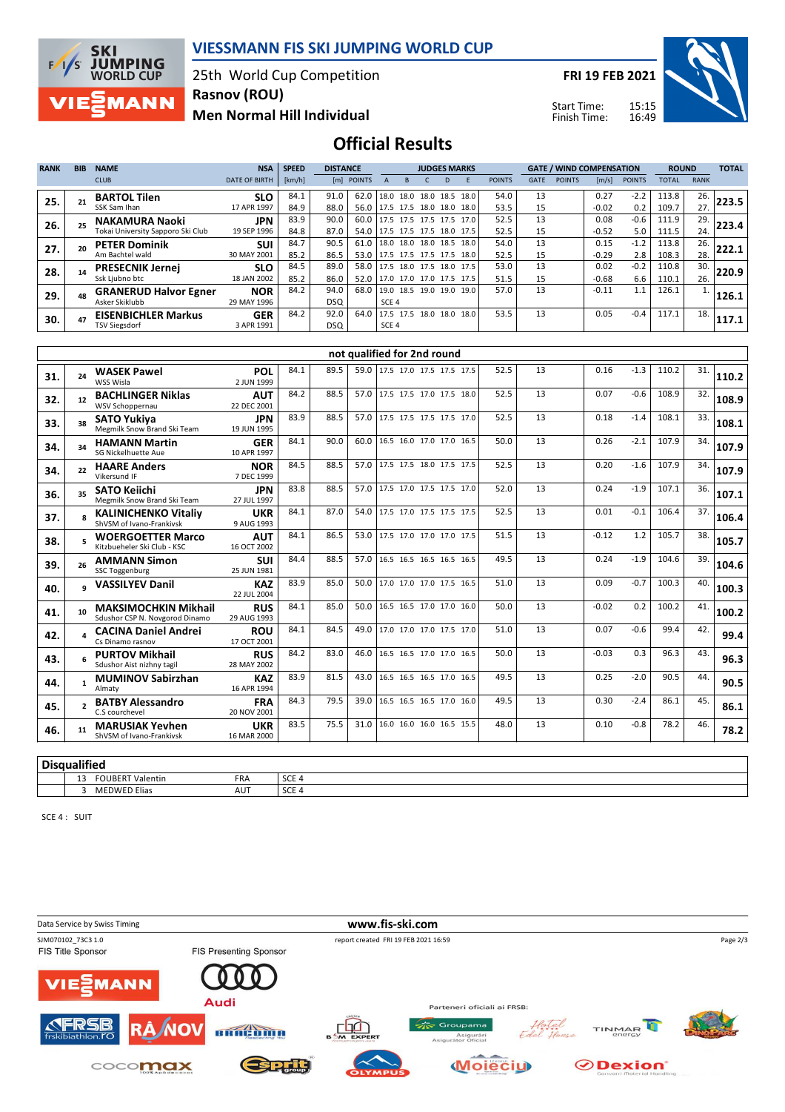

#### **VIESSMANN FIS SKI JUMPING WORLD CUP**

25th World Cup Competition **Rasnov (ROU)**

**Men Normal Hill Individual**

**FRI 19 FEB 2021**

Start Time: Finish Time:



**Official Results**

| <b>RANK</b> | <b>BIB</b> | <b>NAME</b>                                                | <b>NSA</b>                | <b>SPEED</b><br><b>DISTANCE</b> |                    |              | <b>JUDGES MARKS</b> |           |                                                 |  |              | <b>GATE / WIND COMPENSATION</b> |             |               |                 | <b>ROUND</b>  |                | <b>TOTAL</b> |       |
|-------------|------------|------------------------------------------------------------|---------------------------|---------------------------------|--------------------|--------------|---------------------|-----------|-------------------------------------------------|--|--------------|---------------------------------|-------------|---------------|-----------------|---------------|----------------|--------------|-------|
|             |            | <b>CLUB</b>                                                | <b>DATE OF BIRTH</b>      | [km/h]                          |                    | [m] POINTS   |                     |           |                                                 |  |              | <b>POINTS</b>                   | <b>GATE</b> | <b>POINTS</b> | [m/s]           | <b>POINTS</b> | <b>TOTAL</b>   | <b>RANK</b>  |       |
| 25.         |            | <b>BARTOL Tilen</b><br>SSK Sam Ihan                        | <b>SLO</b><br>17 APR 1997 | 84.1<br>84.9                    | 91.0<br>88.0       | 62.0<br>56.0 | 18.0                |           | 18.0 18.0 18.5<br>17.5 17.5 18.0 18.0           |  | 18.0<br>18.0 | 54.0<br>53.5                    | 13<br>15    |               | 0.27<br>$-0.02$ | $-2.2$<br>0.2 | 113.8<br>109.7 | 26.<br>27.   | 223.5 |
| 26.         |            | <b>NAKAMURA Naoki</b><br>Tokai University Sapporo Ski Club | <b>JPN</b><br>19 SEP 1996 | 83.9<br>84.8                    | 90.0<br>87.0       | 60.0<br>54.0 |                     |           | 17.5 17.5 17.5 17.5<br>17.5 17.5 17.5 18.0 17.5 |  | 17.0         | 52.5<br>52.5                    | 13<br>15    |               | 0.08<br>$-0.52$ | $-0.6$<br>5.0 | 111.9<br>111.5 | 29.<br>24.   | 223.4 |
| 27.         | 20         | <b>PETER Dominik</b><br>Am Bachtel wald                    | <b>SUI</b><br>30 MAY 2001 | 84.7<br>85.2                    | 90.5<br>86.5       | 61.0<br>53.0 |                     |           | 18.0 18.0 18.0 18.5<br>17.5 17.5 17.5 17.5 18.0 |  | 18.0         | 54.0<br>52.5                    | 13<br>15    |               | 0.15<br>$-0.29$ | $-1.2$<br>2.8 | 113.8<br>108.3 | 26.<br>28.   | 222.1 |
| 28.         |            | <b>PRESECNIK Jernei</b><br>Ssk Ljubno btc                  | <b>SLO</b><br>18 JAN 2002 | 84.5<br>85.2                    | 89.0<br>86.0       | 58.0<br>52.0 |                     |           | 17.5 18.0 17.5 18.0<br>17.0 17.0 17.0 17.5 17.5 |  | 17.5         | 53.0<br>51.5                    | 13<br>15    |               | 0.02<br>$-0.68$ | $-0.2$<br>6.6 | 110.8<br>110.1 | 30.<br>26.   | 220.9 |
| 29.         |            | <b>GRANERUD Halvor Egner</b><br>Asker Skiklubb             | <b>NOR</b><br>29 MAY 1996 | 84.2                            | 94.0<br><b>DSQ</b> | 68.0         | SCE <sub>4</sub>    | 19.0 18.5 | 19.0 19.0                                       |  | 19.0         | 57.0                            | 13          |               | $-0.11$         | 1.1           | 126.1          | 1.           | 126.1 |
| 30.         | 47         | <b>EISENBICHLER Markus</b><br><b>TSV Siegsdorf</b>         | <b>GER</b><br>3 APR 1991  | 84.2                            | 92.0<br>DSQ        | 64.0         | 17.5 17.5<br>SCE 4  |           | 18.0 18.0                                       |  | 18.0         | 53.5                            | 13          |               | 0.05            | $-0.4$        | 117.1          | 18.          | 117.1 |

|     | not qualified for 2nd round |                                                               |                           |      |      |      |                               |  |  |      |    |         |        |       |     |       |
|-----|-----------------------------|---------------------------------------------------------------|---------------------------|------|------|------|-------------------------------|--|--|------|----|---------|--------|-------|-----|-------|
| 31. | 24                          | <b>WASEK Pawel</b><br>WSS Wisla                               | POL<br>2 JUN 1999         | 84.1 | 89.5 |      | 59.0 17.5 17.0 17.5 17.5 17.5 |  |  | 52.5 | 13 | 0.16    | $-1.3$ | 110.2 | 31. | 110.2 |
| 32. | 12                          | <b>BACHLINGER Niklas</b><br>WSV Schoppernau                   | <b>AUT</b><br>22 DEC 2001 | 84.2 | 88.5 | 57.0 | 17.5 17.5 17.0 17.5 18.0      |  |  | 52.5 | 13 | 0.07    | $-0.6$ | 108.9 | 32. | 108.9 |
| 33. | 38                          | <b>SATO Yukiya</b><br>Megmilk Snow Brand Ski Team             | <b>JPN</b><br>19 JUN 1995 | 83.9 | 88.5 | 57.0 | 17.5 17.5 17.5 17.5 17.0      |  |  | 52.5 | 13 | 0.18    | $-1.4$ | 108.1 | 33. | 108.1 |
| 34. | 34                          | <b>HAMANN Martin</b><br>SG Nickelhuette Aue                   | <b>GER</b><br>10 APR 1997 | 84.1 | 90.0 | 60.0 | 16.5 16.0 17.0 17.0 16.5      |  |  | 50.0 | 13 | 0.26    | $-2.1$ | 107.9 | 34. | 107.9 |
| 34. | 22                          | <b>HAARE Anders</b><br>Vikersund IF                           | <b>NOR</b><br>7 DEC 1999  | 84.5 | 88.5 | 57.0 | 17.5 17.5 18.0 17.5 17.5      |  |  | 52.5 | 13 | 0.20    | $-1.6$ | 107.9 | 34. | 107.9 |
| 36. | 35                          | <b>SATO Keiichi</b><br>Megmilk Snow Brand Ski Team            | <b>JPN</b><br>27 JUL 1997 | 83.8 | 88.5 | 57.0 | 17.5 17.0 17.5 17.5 17.0      |  |  | 52.0 | 13 | 0.24    | $-1.9$ | 107.1 | 36. | 107.1 |
| 37. |                             | <b>KALINICHENKO Vitaliv</b><br>ShVSM of Ivano-Frankivsk       | <b>UKR</b><br>9 AUG 1993  | 84.1 | 87.0 | 54.0 | 17.5 17.0 17.5 17.5 17.5      |  |  | 52.5 | 13 | 0.01    | $-0.1$ | 106.4 | 37. | 106.4 |
| 38. |                             | <b>WOERGOETTER Marco</b><br>Kitzbueheler Ski Club - KSC       | <b>AUT</b><br>16 OCT 2002 | 84.1 | 86.5 | 53.0 | 17.5 17.0 17.0 17.0 17.5      |  |  | 51.5 | 13 | $-0.12$ | 1.2    | 105.7 | 38. | 105.7 |
| 39. | 26                          | <b>AMMANN Simon</b><br><b>SSC Toggenburg</b>                  | <b>SUI</b><br>25 JUN 1981 | 84.4 | 88.5 | 57.0 | 16.5 16.5 16.5 16.5 16.5      |  |  | 49.5 | 13 | 0.24    | $-1.9$ | 104.6 | 39. | 104.6 |
| 40. |                             | q VASSILYEV Danil                                             | <b>KAZ</b><br>22 JUL 2004 | 83.9 | 85.0 | 50.0 | 17.0 17.0 17.0 17.5 16.5      |  |  | 51.0 | 13 | 0.09    | $-0.7$ | 100.3 | 40. | 100.3 |
| 41. | 10 <sup>1</sup>             | <b>MAKSIMOCHKIN Mikhail</b><br>Sdushor CSP N. Novgorod Dinamo | <b>RUS</b><br>29 AUG 1993 | 84.1 | 85.0 | 50.0 | 16.5 16.5 17.0 17.0 16.0      |  |  | 50.0 | 13 | $-0.02$ | 0.2    | 100.2 | 41. | 100.2 |
| 42. |                             | <b>CACINA Daniel Andrei</b><br>Cs Dinamo rasnov               | <b>ROU</b><br>17 OCT 2001 | 84.1 | 84.5 | 49.0 | 17.0 17.0 17.0 17.5 17.0      |  |  | 51.0 | 13 | 0.07    | $-0.6$ | 99.4  | 42. | 99.4  |
| 43. |                             | <b>PURTOV Mikhail</b><br>Sdushor Aist nizhny tagil            | <b>RUS</b><br>28 MAY 2002 | 84.2 | 83.0 | 46.0 | 16.5 16.5 17.0 17.0 16.5      |  |  | 50.0 | 13 | $-0.03$ | 0.3    | 96.3  | 43. | 96.3  |
| 44. | $\mathbf{1}$                | <b>MUMINOV Sabirzhan</b><br>Almaty                            | <b>KAZ</b><br>16 APR 1994 | 83.9 | 81.5 | 43.0 | 16.5 16.5 16.5 17.0 16.5      |  |  | 49.5 | 13 | 0.25    | $-2.0$ | 90.5  | 44. | 90.5  |
| 45. |                             | <b>BATBY Alessandro</b><br>C.S courchevel                     | <b>FRA</b><br>20 NOV 2001 | 84.3 | 79.5 | 39.0 | 16.5 16.5 16.5 17.0 16.0      |  |  | 49.5 | 13 | 0.30    | $-2.4$ | 86.1  | 45. | 86.1  |
| 46. | 11                          | <b>MARUSIAK Yevhen</b><br>ShVSM of Ivano-Frankivsk            | <b>UKR</b><br>16 MAR 2000 | 83.5 | 75.5 | 31.0 | 16.0 16.0 16.0 16.5 15.5      |  |  | 48.0 | 13 | 0.10    | $-0.8$ | 78.2  | 46. | 78.2  |

**Disqualified**

13 FOUBERT Valentin FRA SCE 4<br>3 MEDWED Elias AUT SCE 4 3 MEDWED Elias

SCE 4 : SUIT